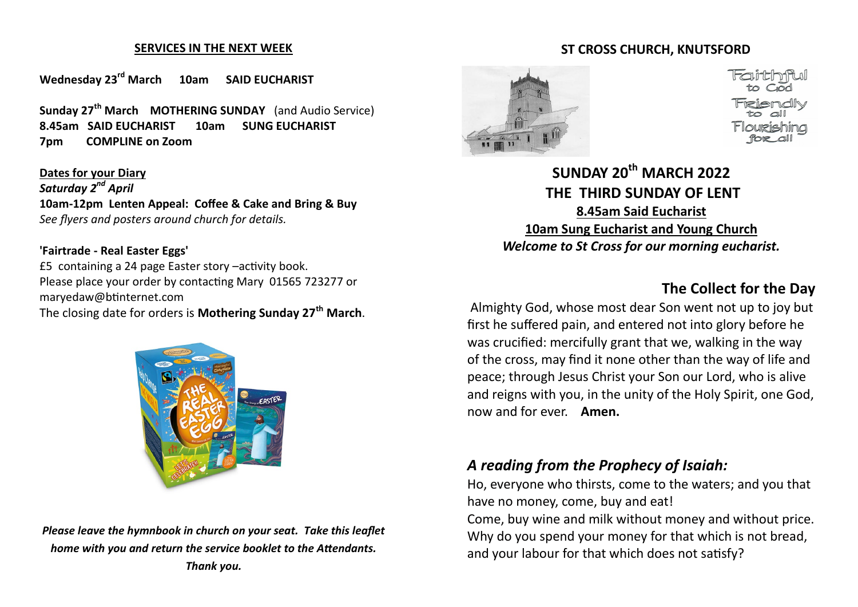#### **SERVICES IN THE NEXT WEEK**

**Wednesday 23rd March 10am SAID EUCHARIST** 

**Sunday 27th March MOTHERING SUNDAY** (and Audio Service) **8.45am SAID EUCHARIST 10am SUNG EUCHARIST 7pm COMPLINE on Zoom**

**Dates for your Diary** *Saturday 2nd April* **10am-12pm Lenten Appeal: Coffee & Cake and Bring & Buy** *See flyers and posters around church for details.*

#### **'Fairtrade - Real Easter Eggs'**

£5 containing a 24 page Easter story –activity book. Please place your order by contacting Mary 01565 723277 or maryedaw@btinternet.com The closing date for orders is **Mothering Sunday 27th March**.



*Please leave the hymnbook in church on your seat. Take this leaflet home with you and return the service booklet to the Attendants. Thank you.*

### **ST CROSS CHURCH, KNUTSFORD**



**SUNDAY 20th MARCH 2022 THE THIRD SUNDAY OF LENT 8.45am Said Eucharist 10am Sung Eucharist and Young Church** *Welcome to St Cross for our morning eucharist.* 

### **The Collect for the Day**

Almighty God, whose most dear Son went not up to joy but first he suffered pain, and entered not into glory before he was crucified: mercifully grant that we, walking in the way of the cross, may find it none other than the way of life and peace; through Jesus Christ your Son our Lord, who is alive and reigns with you, in the unity of the Holy Spirit, one God, now and for ever. **Amen.** 

### *A reading from the Prophecy of Isaiah:*

Ho, everyone who thirsts, come to the waters; and you that have no money, come, buy and eat!

Come, buy wine and milk without money and without price. Why do you spend your money for that which is not bread, and your labour for that which does not satisfy?